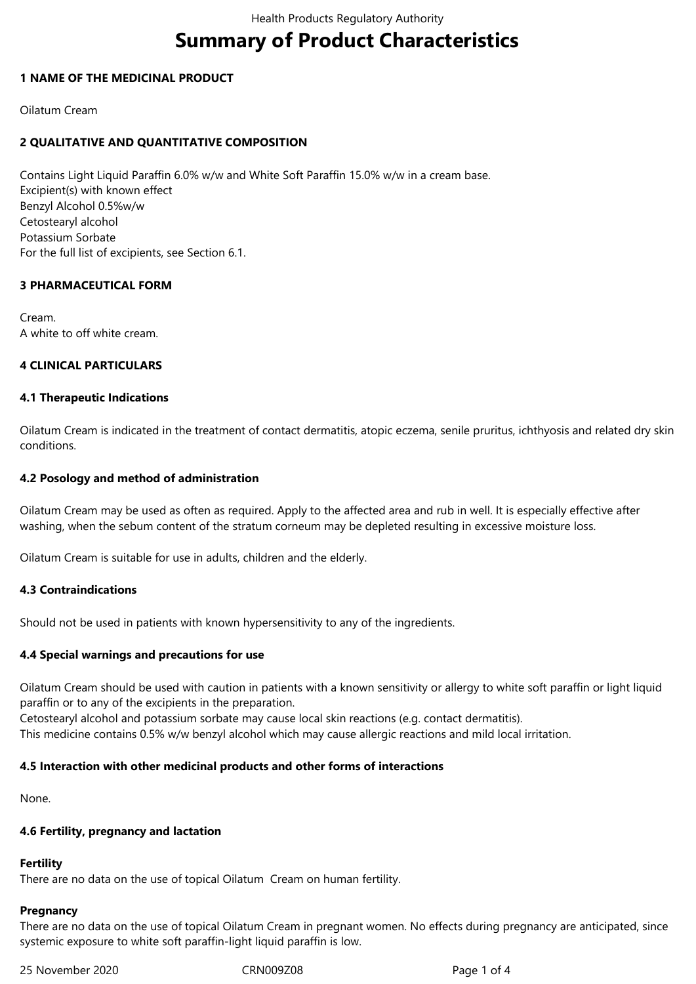# **Summary of Product Characteristics**

## **1 NAME OF THE MEDICINAL PRODUCT**

Oilatum Cream

# **2 QUALITATIVE AND QUANTITATIVE COMPOSITION**

Contains Light Liquid Paraffin 6.0% w/w and White Soft Paraffin 15.0% w/w in a cream base. Excipient(s) with known effect Benzyl Alcohol 0.5%w/w Cetostearyl alcohol Potassium Sorbate For the full list of excipients, see Section 6.1.

# **3 PHARMACEUTICAL FORM**

Cream. A white to off white cream.

## **4 CLINICAL PARTICULARS**

## **4.1 Therapeutic Indications**

Oilatum Cream is indicated in the treatment of contact dermatitis, atopic eczema, senile pruritus, ichthyosis and related dry skin conditions.

## **4.2 Posology and method of administration**

Oilatum Cream may be used as often as required. Apply to the affected area and rub in well. It is especially effective after washing, when the sebum content of the stratum corneum may be depleted resulting in excessive moisture loss.

Oilatum Cream is suitable for use in adults, children and the elderly.

# **4.3 Contraindications**

Should not be used in patients with known hypersensitivity to any of the ingredients.

# **4.4 Special warnings and precautions for use**

Oilatum Cream should be used with caution in patients with a known sensitivity or allergy to white soft paraffin or light liquid paraffin or to any of the excipients in the preparation.

Cetostearyl alcohol and potassium sorbate may cause local skin reactions (e.g. contact dermatitis).

This medicine contains 0.5% w/w benzyl alcohol which may cause allergic reactions and mild local irritation.

## **4.5 Interaction with other medicinal products and other forms of interactions**

None.

## **4.6 Fertility, pregnancy and lactation**

## **Fertility**

There are no data on the use of topical Oilatum Cream on human fertility.

## **Pregnancy**

There are no data on the use of topical Oilatum Cream in pregnant women. No effects during pregnancy are anticipated, since systemic exposure to white soft paraffin-light liquid paraffin is low.

25 November 2020 CRN009Z08 Page 1 of 4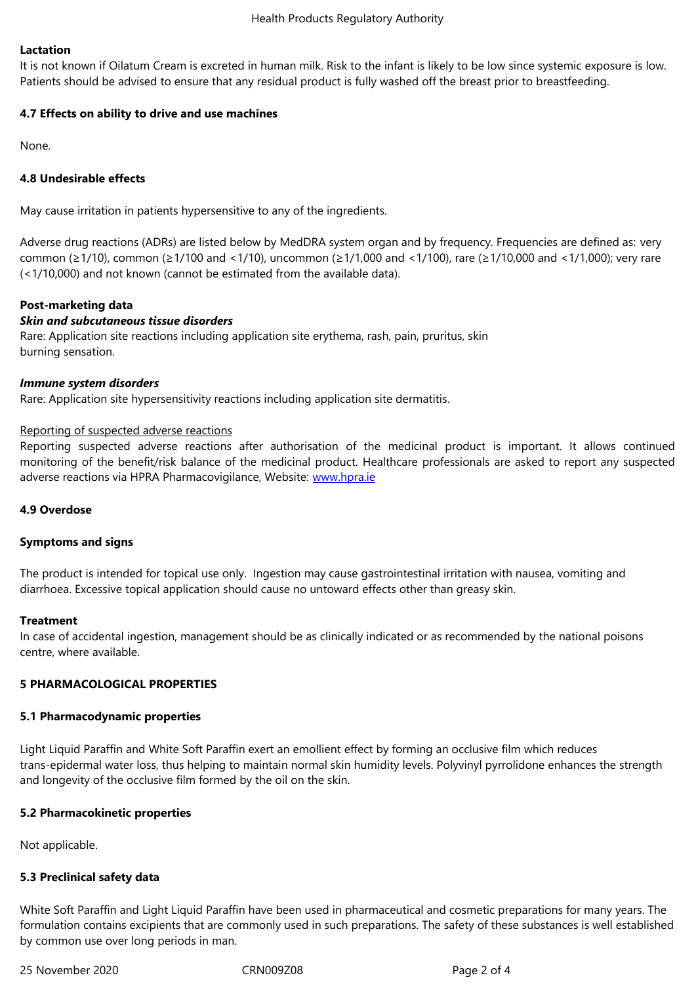It is not known if Oilatum Cream is excreted in human milk. Risk to the infant is likely to be low since systemic exposure is low. Patients should be advised to ensure that any residual product is fully washed off the breast prior to breastfeeding.

# **4.7 Effects on ability to drive and use machines**

None.

## **4.8 Undesirable effects**

May cause irritation in patients hypersensitive to any of the ingredients.

Adverse drug reactions (ADRs) are listed below by MedDRA system organ and by frequency. Frequencies are defined as: very common (≥1/10), common (≥1/100 and <1/10), uncommon (≥1/1,000 and <1/100), rare (≥1/10,000 and <1/1,000); very rare (<1/10,000) and not known (cannot be estimated from the available data).

## **Post-marketing data**

#### *Skin and subcutaneous tissue disorders*

Rare: Application site reactions including application site erythema, rash, pain, pruritus, skin burning sensation.

#### *Immune system disorders*

Rare: Application site hypersensitivity reactions including application site dermatitis.

#### Reporting of suspected adverse reactions

Reporting suspected adverse reactions after authorisation of the medicinal product is important. It allows continued monitoring of the benefit/risk balance of the medicinal product. Healthcare professionals are asked to report any suspected adverse reactions via HPRA Pharmacovigilance, Website: www.hpra.ie

## **4.9 Overdose**

#### **Symptoms and signs**

The product is intended for topical use only. Ingestion may cause gastrointestinal irritation with nausea, vomiting and diarrhoea. Excessive topical application should cause no untoward effects other than greasy skin.

#### **Treatment**

In case of accidental ingestion, management should be as clinically indicated or as recommended by the national poisons centre, where available.

## **5 PHARMACOLOGICAL PROPERTIES**

#### **5.1 Pharmacodynamic properties**

Light Liquid Paraffin and White Soft Paraffin exert an emollient effect by forming an occlusive film which reduces trans-epidermal water loss, thus helping to maintain normal skin humidity levels. Polyvinyl pyrrolidone enhances the strength and longevity of the occlusive film formed by the oil on the skin.

## **5.2 Pharmacokinetic properties**

Not applicable.

## **5.3 Preclinical safety data**

White Soft Paraffin and Light Liquid Paraffin have been used in pharmaceutical and cosmetic preparations for many years. The formulation contains excipients that are commonly used in such preparations. The safety of these substances is well established by common use over long periods in man.

25 November 2020 CRN009Z08 Page 2 of 4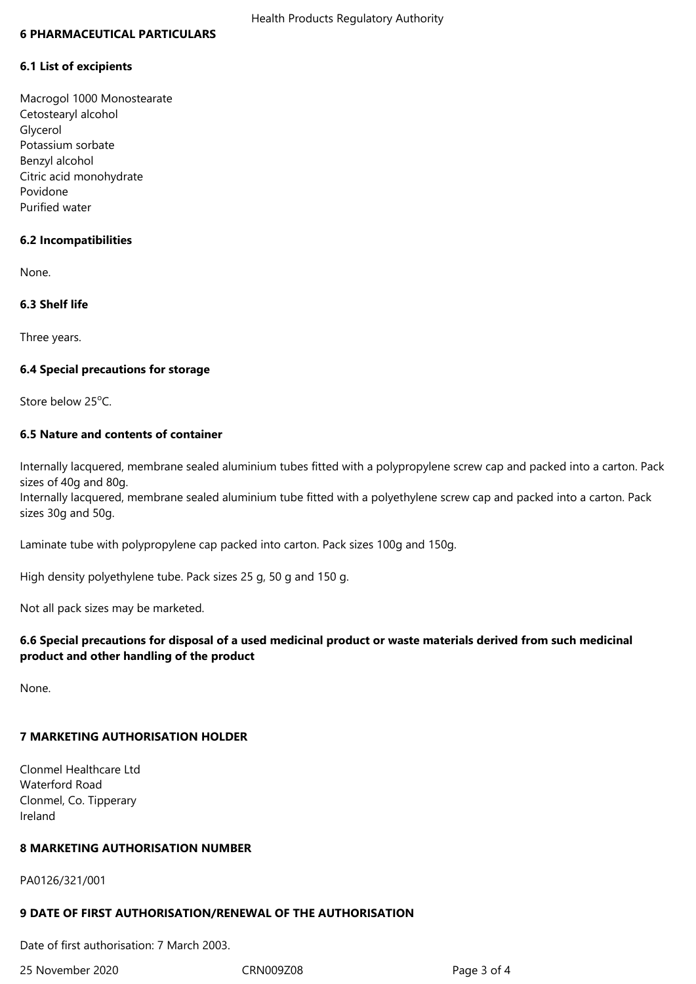#### **6 PHARMACEUTICAL PARTICULARS**

#### **6.1 List of excipients**

Macrogol 1000 Monostearate Cetostearyl alcohol Glycerol Potassium sorbate Benzyl alcohol Citric acid monohydrate Povidone Purified water

#### **6.2 Incompatibilities**

None.

## **6.3 Shelf life**

Three years.

#### **6.4 Special precautions for storage**

Store below 25°C.

# **6.5 Nature and contents of container**

Internally lacquered, membrane sealed aluminium tubes fitted with a polypropylene screw cap and packed into a carton. Pack sizes of 40g and 80g.

Internally lacquered, membrane sealed aluminium tube fitted with a polyethylene screw cap and packed into a carton. Pack sizes 30g and 50g.

Laminate tube with polypropylene cap packed into carton. Pack sizes 100g and 150g.

High density polyethylene tube. Pack sizes 25 g, 50 g and 150 g.

Not all pack sizes may be marketed.

## **6.6 Special precautions for disposal of a used medicinal product or waste materials derived from such medicinal product and other handling of the product**

None.

# **7 MARKETING AUTHORISATION HOLDER**

Clonmel Healthcare Ltd Waterford Road Clonmel, Co. Tipperary Ireland

## **8 MARKETING AUTHORISATION NUMBER**

PA0126/321/001

#### **9 DATE OF FIRST AUTHORISATION/RENEWAL OF THE AUTHORISATION**

Date of first authorisation: 7 March 2003.

25 November 2020 CRN009Z08 Page 3 of 4